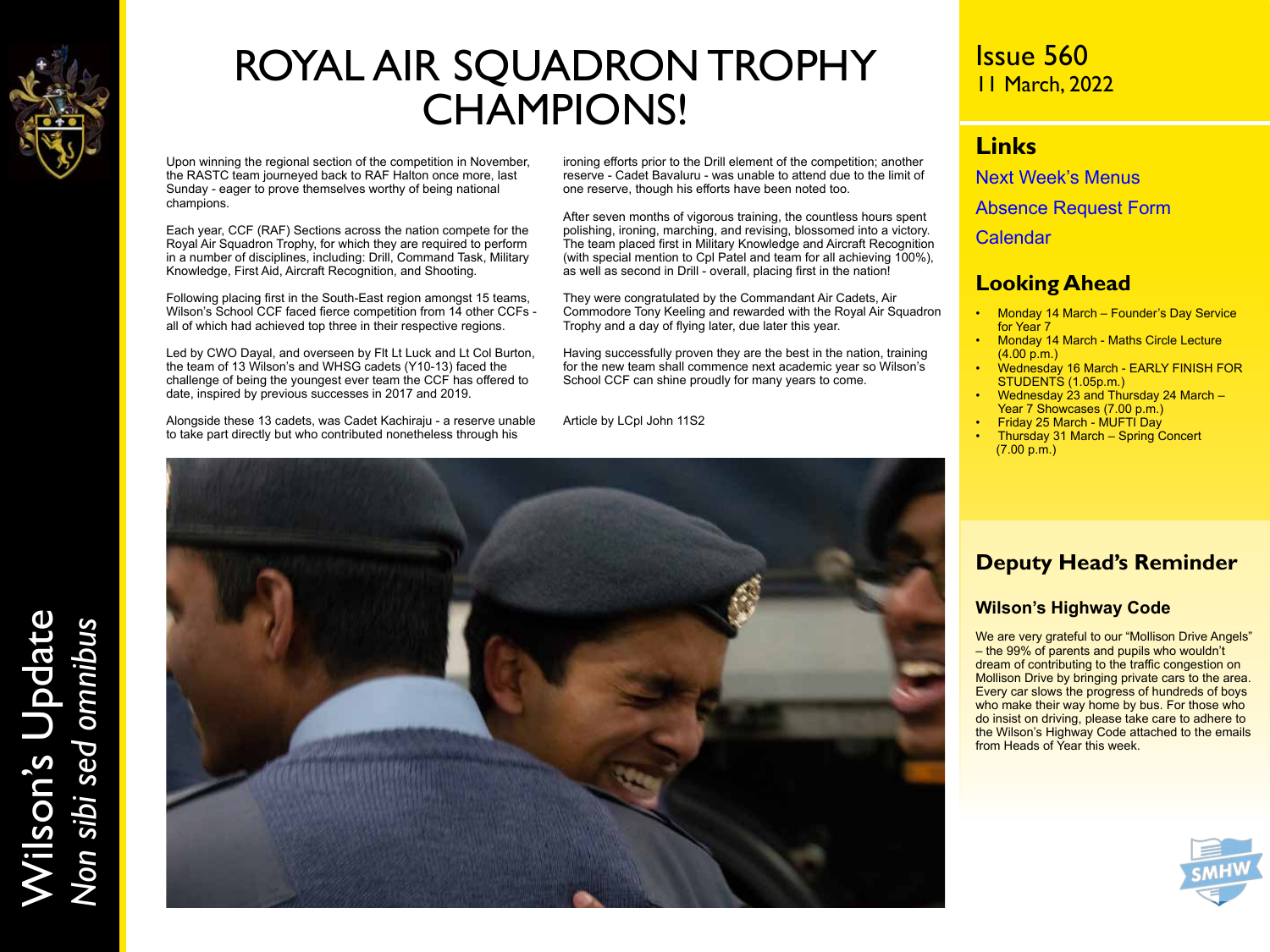

# ROYAL AIR SQUADRON TROPHY CHAMPIONS!

Upon winning the regional section of the competition in November, the RASTC team journeyed back to RAF Halton once more, last Sunday - eager to prove themselves worthy of being national champions.

Each year, CCF (RAF) Sections across the nation compete for the Royal Air Squadron Trophy, for which they are required to perform in a number of disciplines, including: Drill, Command Task, Military Knowledge, First Aid, Aircraft Recognition, and Shooting.

Following placing first in the South-East region amongst 15 teams, Wilson's School CCF faced fierce competition from 14 other CCFs all of which had achieved top three in their respective regions.

Led by CWO Dayal, and overseen by Flt Lt Luck and Lt Col Burton, the team of 13 Wilson's and WHSG cadets (Y10-13) faced the challenge of being the youngest ever team the CCF has offered to date, inspired by previous successes in 2017 and 2019.

Alongside these 13 cadets, was Cadet Kachiraju - a reserve unable to take part directly but who contributed nonetheless through his

ironing efforts prior to the Drill element of the competition; another reserve - Cadet Bavaluru - was unable to attend due to the limit of one reserve, though his efforts have been noted too.

After seven months of vigorous training, the countless hours spent polishing, ironing, marching, and revising, blossomed into a victory. The team placed first in Military Knowledge and Aircraft Recognition (with special mention to Cpl Patel and team for all achieving 100%), as well as second in Drill - overall, placing first in the nation!

They were congratulated by the Commandant Air Cadets, Air Commodore Tony Keeling and rewarded with the Royal Air Squadron Trophy and a day of flying later, due later this year.

Having successfully proven they are the best in the nation, training for the new team shall commence next academic year so Wilson's School CCF can shine proudly for many years to come.

Article by LCpl John 11S2



### Issue 560 11 March, 2022

#### **Links**

[Next Week's Menus](https://www.wilsons.school/resources/Menus.pdf)

[Absence Request Form](http://www.wilsons.school/resources/Leave-of-Absence-Form.pdf)

**[Calendar](https://www.wilsons.school/calendar/)** 

#### **Looking Ahead**

- Monday 14 March Founder's Day Service for Year 7
- Monday 14 March Maths Circle Lecture (4.00 p.m.)
- Wednesday 16 March EARLY FINISH FOR STUDENTS (1.05p.m.)
- Wednesday 23 and Thursday 24 March Year 7 Showcases (7.00 p.m.)
- Friday 25 March MUFTI Day
- Thursday 31 March Spring Concert (7.00 p.m.)

#### **Deputy Head's Reminder**

#### **Wilson's Highway Code**

We are very grateful to our "Mollison Drive Angels" – the 99% of parents and pupils who wouldn't dream of contributing to the traffic congestion on Mollison Drive by bringing private cars to the area. Every car slows the progress of hundreds of boys who make their way home by bus. For those who do insist on driving, please take care to adhere to the Wilson's Highway Code attached to the emails from Heads of Year this week.



Wilson's Update Wilson's Update<br>Non sibi sed omnibus *Non sibi sed omnibus*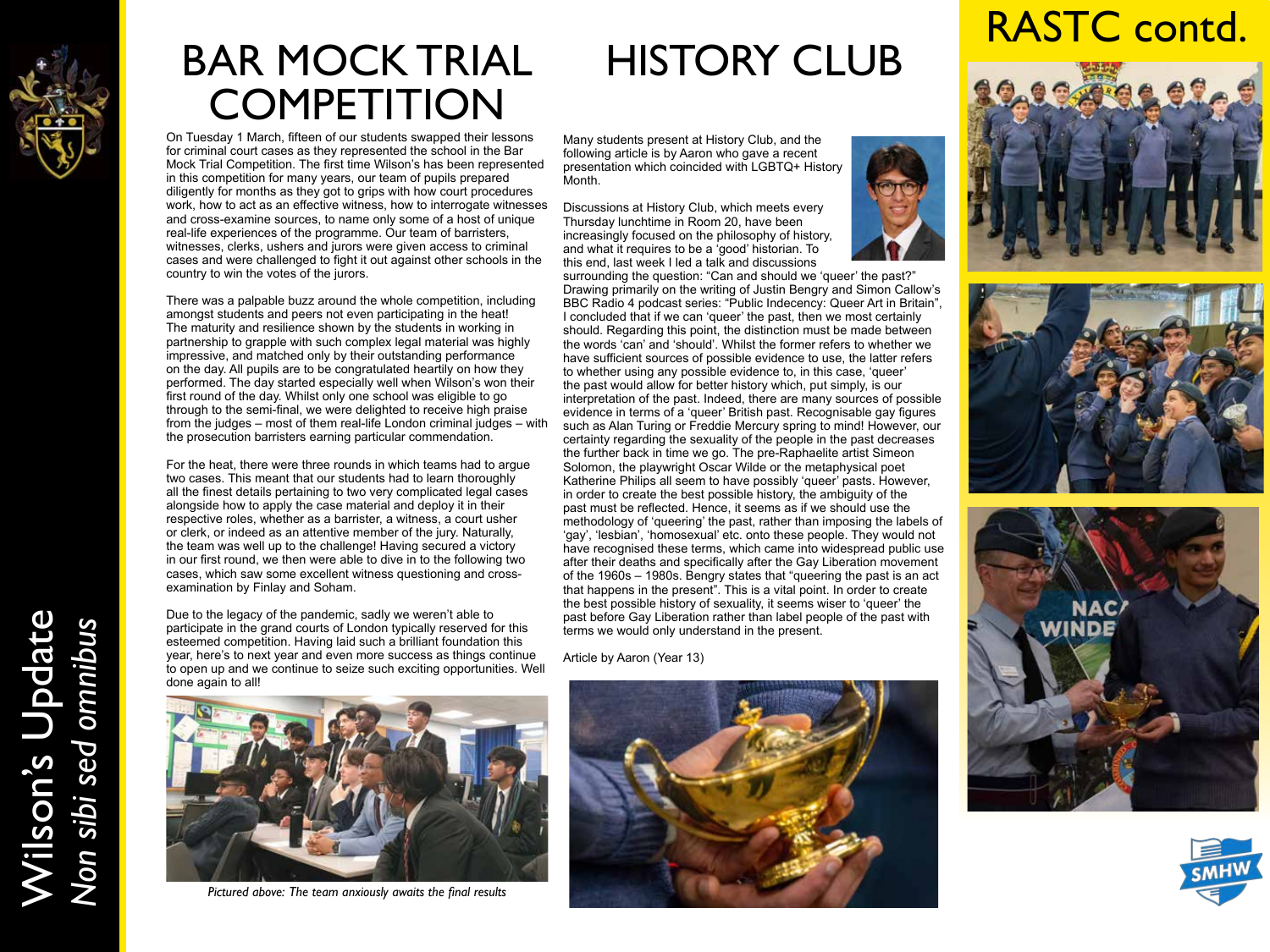

## BAR MOCK TRIAL **COMPETITION**

On Tuesday 1 March, fifteen of our students swapped their lessons for criminal court cases as they represented the school in the Bar Mock Trial Competition. The first time Wilson's has been represented in this competition for many years, our team of pupils prepared diligently for months as they got to grips with how court procedures work, how to act as an effective witness, how to interrogate witnesses and cross-examine sources, to name only some of a host of unique real-life experiences of the programme. Our team of barristers, witnesses, clerks, ushers and jurors were given access to criminal cases and were challenged to fight it out against other schools in the country to win the votes of the jurors.

There was a palpable buzz around the whole competition, including amongst students and peers not even participating in the heat! The maturity and resilience shown by the students in working in partnership to grapple with such complex legal material was highly impressive, and matched only by their outstanding performance on the day. All pupils are to be congratulated heartily on how they performed. The day started especially well when Wilson's won their first round of the day. Whilst only one school was eligible to go through to the semi-final, we were delighted to receive high praise from the judges – most of them real-life London criminal judges – with the prosecution barristers earning particular commendation.

For the heat, there were three rounds in which teams had to argue two cases. This meant that our students had to learn thoroughly all the finest details pertaining to two very complicated legal cases alongside how to apply the case material and deploy it in their respective roles, whether as a barrister, a witness, a court usher or clerk, or indeed as an attentive member of the jury. Naturally, the team was well up to the challenge! Having secured a victory in our first round, we then were able to dive in to the following two cases, which saw some excellent witness questioning and crossexamination by Finlay and Soham.

Due to the legacy of the pandemic, sadly we weren't able to participate in the grand courts of London typically reserved for this esteemed competition. Having laid such a brilliant foundation this year, here's to next year and even more success as things continue to open up and we continue to seize such exciting opportunities. Well done again to all!

# HISTORY CLUB

Many students present at History Club, and the following article is by Aaron who gave a recent presentation which coincided with LGBTQ+ History Month.

Discussions at History Club, which meets every Thursday lunchtime in Room 20, have been increasingly focused on the philosophy of history, and what it requires to be a 'good' historian. To this end, last week I led a talk and discussions

surrounding the question: "Can and should we 'queer' the past?" Drawing primarily on the writing of Justin Bengry and Simon Callow's BBC Radio 4 podcast series: "Public Indecency: Queer Art in Britain", I concluded that if we can 'queer' the past, then we most certainly should. Regarding this point, the distinction must be made between the words 'can' and 'should'. Whilst the former refers to whether we have sufficient sources of possible evidence to use, the latter refers to whether using any possible evidence to, in this case, 'queer' the past would allow for better history which, put simply, is our interpretation of the past. Indeed, there are many sources of possible evidence in terms of a 'queer' British past. Recognisable gay figures such as Alan Turing or Freddie Mercury spring to mind! However, our certainty regarding the sexuality of the people in the past decreases the further back in time we go. The pre-Raphaelite artist Simeon Solomon, the playwright Oscar Wilde or the metaphysical poet Katherine Philips all seem to have possibly 'queer' pasts. However, in order to create the best possible history, the ambiguity of the past must be reflected. Hence, it seems as if we should use the methodology of 'queering' the past, rather than imposing the labels of 'gay', 'lesbian', 'homosexual' etc. onto these people. They would not have recognised these terms, which came into widespread public use after their deaths and specifically after the Gay Liberation movement of the 1960s – 1980s. Bengry states that "queering the past is an act that happens in the present". This is a vital point. In order to create the best possible history of sexuality, it seems wiser to 'queer' the past before Gay Liberation rather than label people of the past with terms we would only understand in the present.

Article by Aaron (Year 13)



*Pictured above: The team anxiously awaits the final results*

# RASTC contd.









Wilson's Update Wilson's Update<br>Non sibi sed omnibus *Non sibi sed omnibus*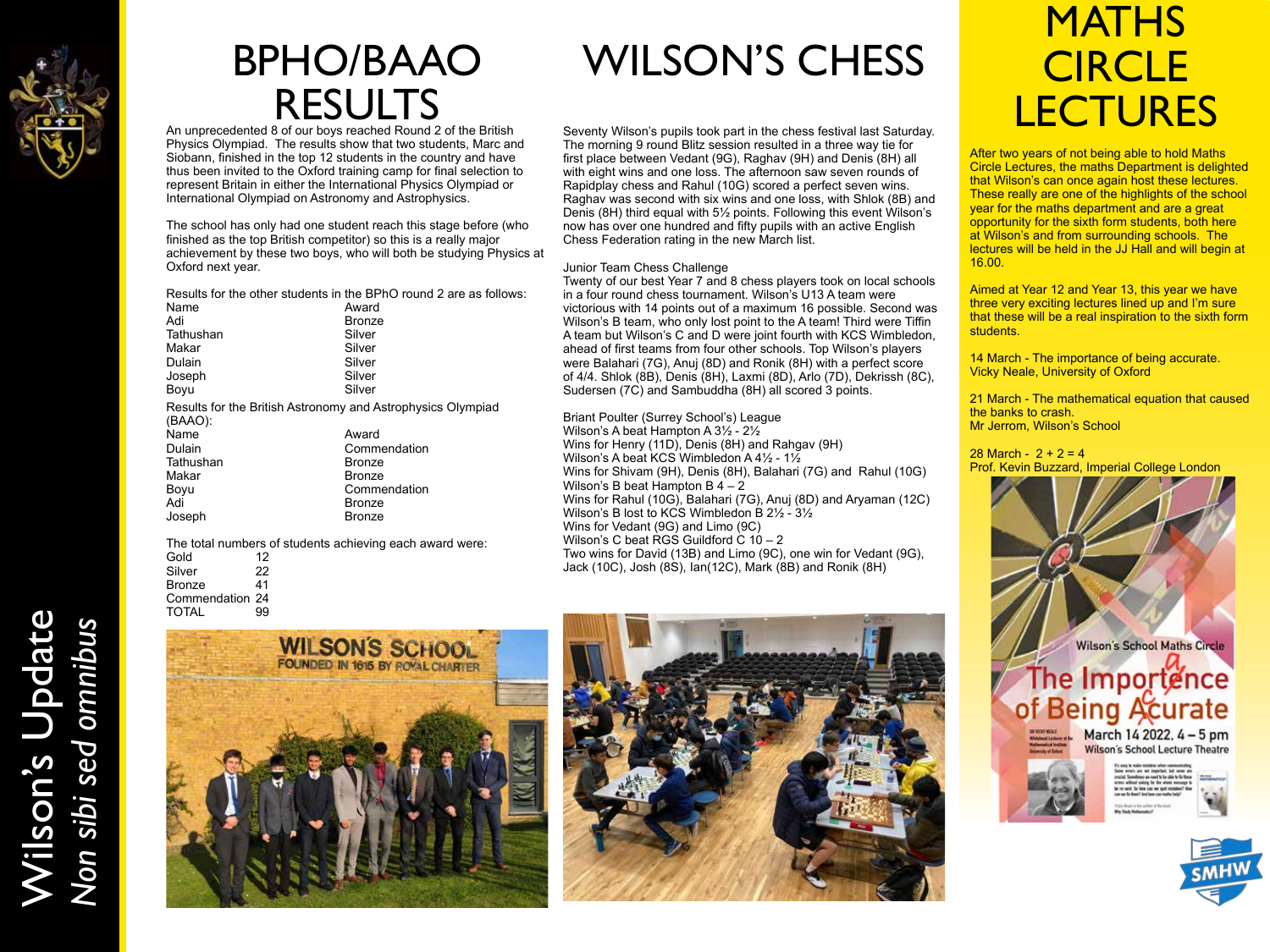

Wilson's Update

Wilson's Update<br>Non sibi sed omnibus

*Non sibi sed omnibus*

## BPHO/BAAO RESULTS An unprecedented 8 of our boys reached Round 2 of the British

Physics Olympiad. The results show that two students, Marc and Siobann, finished in the top 12 students in the country and have thus been invited to the Oxford training camp for final selection to represent Britain in either the International Physics Olympiad or International Olympiad on Astronomy and Astrophysics.

The school has only had one student reach this stage before (who finished as the top British competitor) so this is a really major achievement by these two boys, who will both be studying Physics at Oxford next year.

|                                                                        | Results for the other students in the BPhO round 2 are as follows: |
|------------------------------------------------------------------------|--------------------------------------------------------------------|
| Name                                                                   | Award                                                              |
| Adi                                                                    | <b>Bronze</b>                                                      |
| Tathushan                                                              | Silver                                                             |
| Makar                                                                  | Silver                                                             |
| Dulain                                                                 | Silver                                                             |
| Joseph                                                                 | Silver                                                             |
| Boyu                                                                   | Silver                                                             |
| Results for the British Astronomy and Astrophysics Olympiad<br>(BAAO): |                                                                    |
| Name                                                                   | Award                                                              |
| $\mathbf{D}$ . $\mathbf{I}$                                            | ∩ - --- -- - -- -- -- -- - - - - -                                 |

| 1941 I V  | rwaru         |
|-----------|---------------|
| Dulain    | Commendation  |
| Tathushan | <b>Bronze</b> |
| Makar     | <b>Bronze</b> |
| Boyu      | Commendation  |
| Adi       | <b>Bronze</b> |
| Joseph    | <b>Bronze</b> |
|           |               |

The total numbers of students achieving each award were: Gold 12<br>Silver 22 Silver 22<br>Bronze 41 **Bronze** Commendation 24<br>TOTAL 99 **TOTAL** 



# WILSON'S CHESS

Seventy Wilson's pupils took part in the chess festival last Saturday. The morning 9 round Blitz session resulted in a three way tie for first place between Vedant (9G), Raghav (9H) and Denis (8H) all with eight wins and one loss. The afternoon saw seven rounds of Rapidplay chess and Rahul (10G) scored a perfect seven wins. Raghav was second with six wins and one loss, with Shlok (8B) and Denis (8H) third equal with 5½ points. Following this event Wilson's now has over one hundred and fifty pupils with an active English Chess Federation rating in the new March list.

#### Junior Team Chess Challenge

Twenty of our best Year 7 and 8 chess players took on local schools in a four round chess tournament. Wilson's U13 A team were victorious with 14 points out of a maximum 16 possible. Second was Wilson's B team, who only lost point to the A team! Third were Tiffin A team but Wilson's C and D were joint fourth with KCS Wimbledon, ahead of first teams from four other schools. Top Wilson's players were Balahari (7G), Anuj (8D) and Ronik (8H) with a perfect score of 4/4. Shlok (8B), Denis (8H), Laxmi (8D), Arlo (7D), Dekrissh (8C), Sudersen (7C) and Sambuddha (8H) all scored 3 points.

Briant Poulter (Surrey School's) League Wilson's A beat Hampton A 3½ - 2½ Wins for Henry (11D), Denis (8H) and Rahgav (9H) Wilson's A beat KCS Wimbledon A 4½ - 1½ Wins for Shivam (9H), Denis (8H), Balahari (7G) and Rahul (10G) Wilson's B beat Hampton B 4 – 2 Wins for Rahul (10G), Balahari (7G), Anuj (8D) and Aryaman (12C) Wilson's B lost to KCS Wimbledon B 2½ - 3½ Wins for Vedant (9G) and Limo (9C) Wilson's C beat RGS Guildford  $C$  10 – 2 Two wins for David (13B) and Limo (9C), one win for Vedant (9G), Jack (10C), Josh (8S), Ian(12C), Mark (8B) and Ronik (8H)

# **MATHS CIRCLE LECTURES**

After two years of not being able to hold Maths Circle Lectures, the maths Department is delighted that Wilson's can once again host these lectures. These really are one of the highlights of the school year for the maths department and are a great opportunity for the sixth form students, both here at Wilson's and from surrounding schools. The lectures will be held in the JJ Hall and will begin at 16.00.

Aimed at Year 12 and Year 13, this year we have three very exciting lectures lined up and I'm sure that these will be a real inspiration to the sixth form students.

14 March - The importance of being accurate. Vicky Neale, University of Oxford

21 March - The mathematical equation that caused the banks to crash. Mr Jerrom, Wilson's School

28 March -  $2 + 2 = 4$ Prof. Kevin Buzzard, Imperial College London